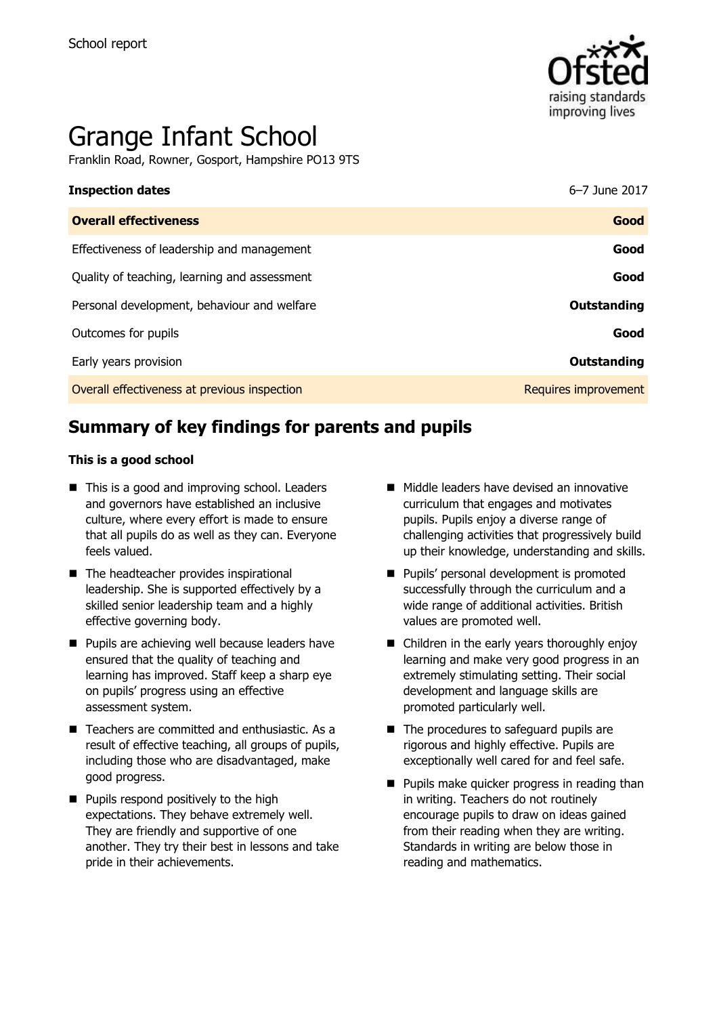

# Grange Infant School

Franklin Road, Rowner, Gosport, Hampshire PO13 9TS

| <b>Inspection dates</b>                      | 6-7 June 2017        |
|----------------------------------------------|----------------------|
| <b>Overall effectiveness</b>                 | Good                 |
| Effectiveness of leadership and management   | Good                 |
| Quality of teaching, learning and assessment | Good                 |
| Personal development, behaviour and welfare  | <b>Outstanding</b>   |
| Outcomes for pupils                          | Good                 |
| Early years provision                        | Outstanding          |
| Overall effectiveness at previous inspection | Requires improvement |

# **Summary of key findings for parents and pupils**

#### **This is a good school**

- This is a good and improving school. Leaders and governors have established an inclusive culture, where every effort is made to ensure that all pupils do as well as they can. Everyone feels valued.
- The headteacher provides inspirational leadership. She is supported effectively by a skilled senior leadership team and a highly effective governing body.
- **Pupils are achieving well because leaders have** ensured that the quality of teaching and learning has improved. Staff keep a sharp eye on pupils' progress using an effective assessment system.
- Teachers are committed and enthusiastic. As a result of effective teaching, all groups of pupils, including those who are disadvantaged, make good progress.
- **Pupils respond positively to the high** expectations. They behave extremely well. They are friendly and supportive of one another. They try their best in lessons and take pride in their achievements.
- $\blacksquare$  Middle leaders have devised an innovative curriculum that engages and motivates pupils. Pupils enjoy a diverse range of challenging activities that progressively build up their knowledge, understanding and skills.
- **Pupils' personal development is promoted** successfully through the curriculum and a wide range of additional activities. British values are promoted well.
- Children in the early years thoroughly enjoy learning and make very good progress in an extremely stimulating setting. Their social development and language skills are promoted particularly well.
- The procedures to safeguard pupils are rigorous and highly effective. Pupils are exceptionally well cared for and feel safe.
- **Pupils make quicker progress in reading than** in writing. Teachers do not routinely encourage pupils to draw on ideas gained from their reading when they are writing. Standards in writing are below those in reading and mathematics.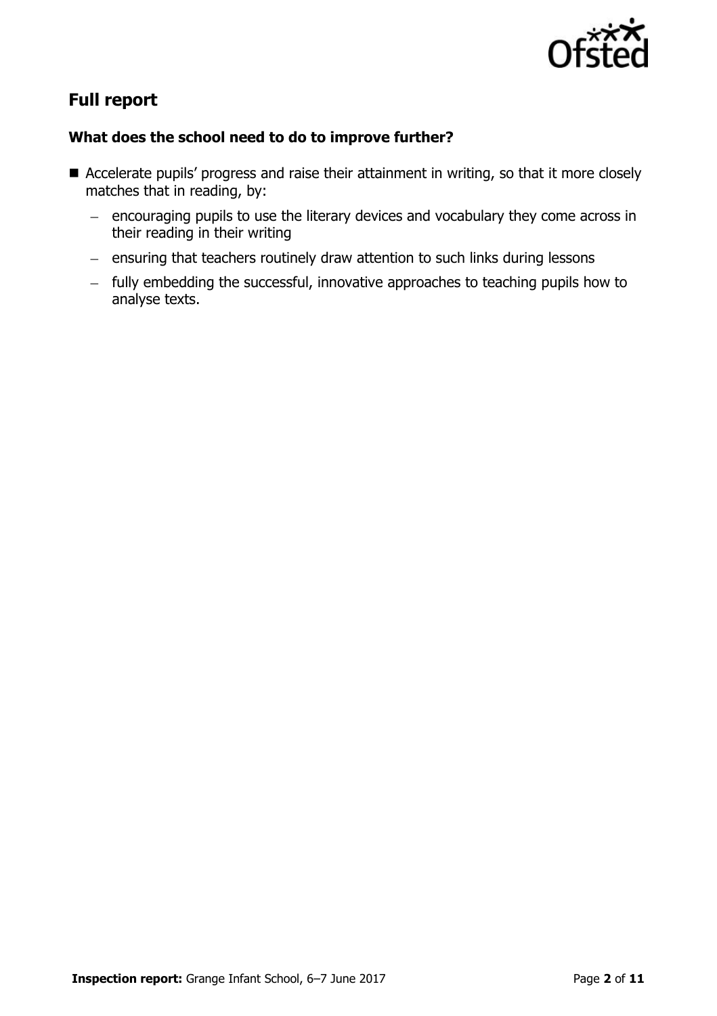

# **Full report**

### **What does the school need to do to improve further?**

- Accelerate pupils' progress and raise their attainment in writing, so that it more closely matches that in reading, by:
	- encouraging pupils to use the literary devices and vocabulary they come across in their reading in their writing
	- ensuring that teachers routinely draw attention to such links during lessons
	- fully embedding the successful, innovative approaches to teaching pupils how to analyse texts.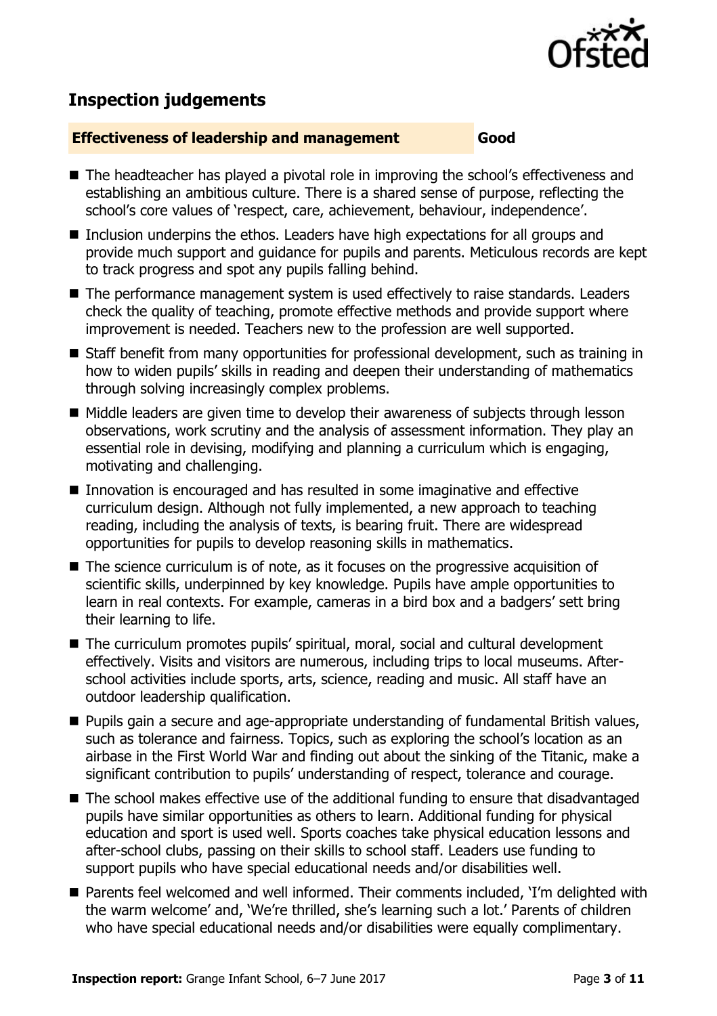

# **Inspection judgements**

#### **Effectiveness of leadership and management Good**

- The headteacher has played a pivotal role in improving the school's effectiveness and establishing an ambitious culture. There is a shared sense of purpose, reflecting the school's core values of 'respect, care, achievement, behaviour, independence'.
- Inclusion underpins the ethos. Leaders have high expectations for all groups and provide much support and guidance for pupils and parents. Meticulous records are kept to track progress and spot any pupils falling behind.
- The performance management system is used effectively to raise standards. Leaders check the quality of teaching, promote effective methods and provide support where improvement is needed. Teachers new to the profession are well supported.
- Staff benefit from many opportunities for professional development, such as training in how to widen pupils' skills in reading and deepen their understanding of mathematics through solving increasingly complex problems.
- Middle leaders are given time to develop their awareness of subjects through lesson observations, work scrutiny and the analysis of assessment information. They play an essential role in devising, modifying and planning a curriculum which is engaging, motivating and challenging.
- Innovation is encouraged and has resulted in some imaginative and effective curriculum design. Although not fully implemented, a new approach to teaching reading, including the analysis of texts, is bearing fruit. There are widespread opportunities for pupils to develop reasoning skills in mathematics.
- The science curriculum is of note, as it focuses on the progressive acquisition of scientific skills, underpinned by key knowledge. Pupils have ample opportunities to learn in real contexts. For example, cameras in a bird box and a badgers' sett bring their learning to life.
- The curriculum promotes pupils' spiritual, moral, social and cultural development effectively. Visits and visitors are numerous, including trips to local museums. Afterschool activities include sports, arts, science, reading and music. All staff have an outdoor leadership qualification.
- Pupils gain a secure and age-appropriate understanding of fundamental British values, such as tolerance and fairness. Topics, such as exploring the school's location as an airbase in the First World War and finding out about the sinking of the Titanic, make a significant contribution to pupils' understanding of respect, tolerance and courage.
- The school makes effective use of the additional funding to ensure that disadvantaged pupils have similar opportunities as others to learn. Additional funding for physical education and sport is used well. Sports coaches take physical education lessons and after-school clubs, passing on their skills to school staff. Leaders use funding to support pupils who have special educational needs and/or disabilities well.
- Parents feel welcomed and well informed. Their comments included, 'I'm delighted with the warm welcome' and, 'We're thrilled, she's learning such a lot.' Parents of children who have special educational needs and/or disabilities were equally complimentary.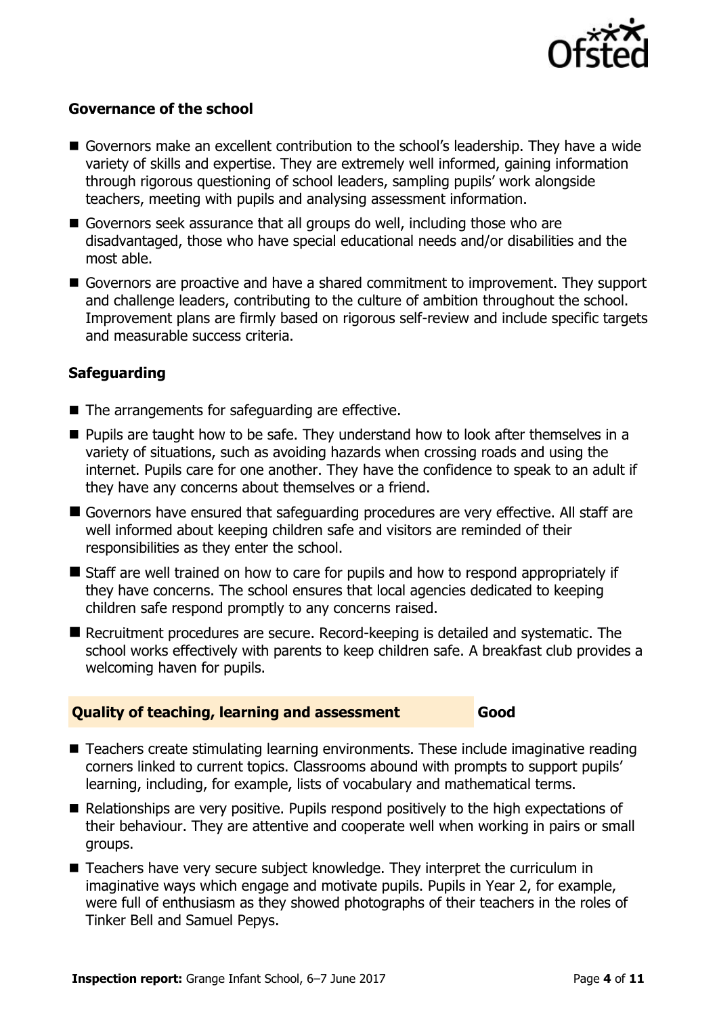

### **Governance of the school**

- Governors make an excellent contribution to the school's leadership. They have a wide variety of skills and expertise. They are extremely well informed, gaining information through rigorous questioning of school leaders, sampling pupils' work alongside teachers, meeting with pupils and analysing assessment information.
- Governors seek assurance that all groups do well, including those who are disadvantaged, those who have special educational needs and/or disabilities and the most able.
- Governors are proactive and have a shared commitment to improvement. They support and challenge leaders, contributing to the culture of ambition throughout the school. Improvement plans are firmly based on rigorous self-review and include specific targets and measurable success criteria.

#### **Safeguarding**

- The arrangements for safeguarding are effective.
- **Pupils are taught how to be safe. They understand how to look after themselves in a** variety of situations, such as avoiding hazards when crossing roads and using the internet. Pupils care for one another. They have the confidence to speak to an adult if they have any concerns about themselves or a friend.
- Governors have ensured that safeguarding procedures are very effective. All staff are well informed about keeping children safe and visitors are reminded of their responsibilities as they enter the school.
- Staff are well trained on how to care for pupils and how to respond appropriately if they have concerns. The school ensures that local agencies dedicated to keeping children safe respond promptly to any concerns raised.
- Recruitment procedures are secure. Record-keeping is detailed and systematic. The school works effectively with parents to keep children safe. A breakfast club provides a welcoming haven for pupils.

#### **Quality of teaching, learning and assessment Good**

- Teachers create stimulating learning environments. These include imaginative reading corners linked to current topics. Classrooms abound with prompts to support pupils' learning, including, for example, lists of vocabulary and mathematical terms.
- Relationships are very positive. Pupils respond positively to the high expectations of their behaviour. They are attentive and cooperate well when working in pairs or small groups.
- Teachers have very secure subject knowledge. They interpret the curriculum in imaginative ways which engage and motivate pupils. Pupils in Year 2, for example, were full of enthusiasm as they showed photographs of their teachers in the roles of Tinker Bell and Samuel Pepys.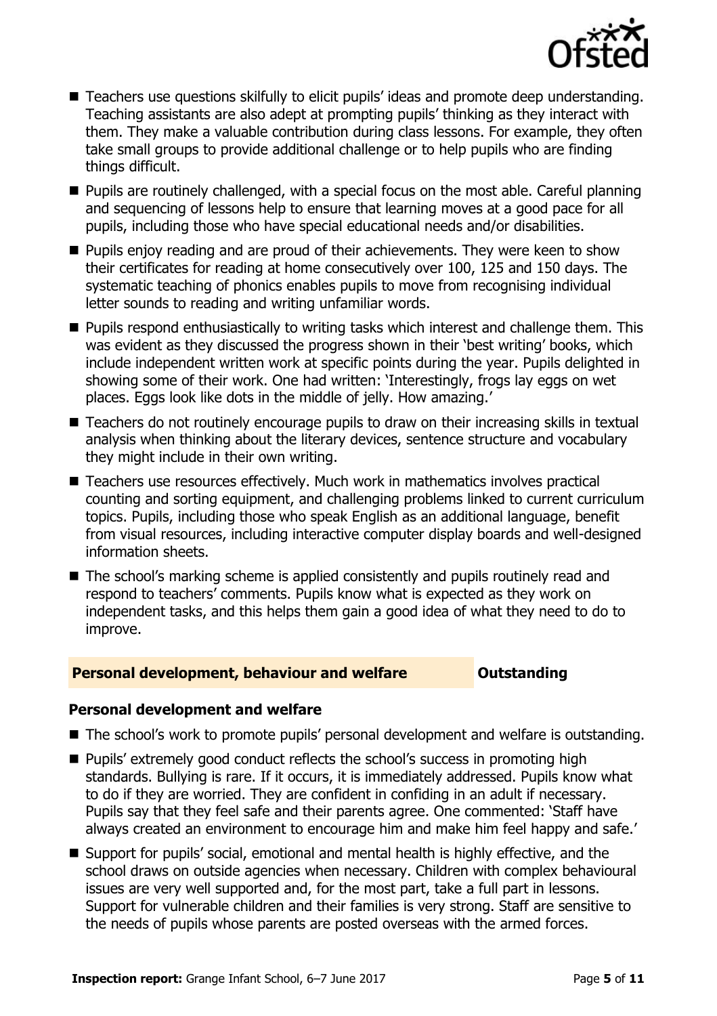

- Teachers use questions skilfully to elicit pupils' ideas and promote deep understanding. Teaching assistants are also adept at prompting pupils' thinking as they interact with them. They make a valuable contribution during class lessons. For example, they often take small groups to provide additional challenge or to help pupils who are finding things difficult.
- **Pupils are routinely challenged, with a special focus on the most able. Careful planning** and sequencing of lessons help to ensure that learning moves at a good pace for all pupils, including those who have special educational needs and/or disabilities.
- **Pupils enjoy reading and are proud of their achievements. They were keen to show** their certificates for reading at home consecutively over 100, 125 and 150 days. The systematic teaching of phonics enables pupils to move from recognising individual letter sounds to reading and writing unfamiliar words.
- **Pupils respond enthusiastically to writing tasks which interest and challenge them. This** was evident as they discussed the progress shown in their 'best writing' books, which include independent written work at specific points during the year. Pupils delighted in showing some of their work. One had written: 'Interestingly, frogs lay eggs on wet places. Eggs look like dots in the middle of jelly. How amazing.'
- Teachers do not routinely encourage pupils to draw on their increasing skills in textual analysis when thinking about the literary devices, sentence structure and vocabulary they might include in their own writing.
- Teachers use resources effectively. Much work in mathematics involves practical counting and sorting equipment, and challenging problems linked to current curriculum topics. Pupils, including those who speak English as an additional language, benefit from visual resources, including interactive computer display boards and well-designed information sheets.
- The school's marking scheme is applied consistently and pupils routinely read and respond to teachers' comments. Pupils know what is expected as they work on independent tasks, and this helps them gain a good idea of what they need to do to improve.

#### **Personal development, behaviour and welfare <b>COUNG COULDER** Outstanding

#### **Personal development and welfare**

- The school's work to promote pupils' personal development and welfare is outstanding.
- Pupils' extremely good conduct reflects the school's success in promoting high standards. Bullying is rare. If it occurs, it is immediately addressed. Pupils know what to do if they are worried. They are confident in confiding in an adult if necessary. Pupils say that they feel safe and their parents agree. One commented: 'Staff have always created an environment to encourage him and make him feel happy and safe.'
- Support for pupils' social, emotional and mental health is highly effective, and the school draws on outside agencies when necessary. Children with complex behavioural issues are very well supported and, for the most part, take a full part in lessons. Support for vulnerable children and their families is very strong. Staff are sensitive to the needs of pupils whose parents are posted overseas with the armed forces.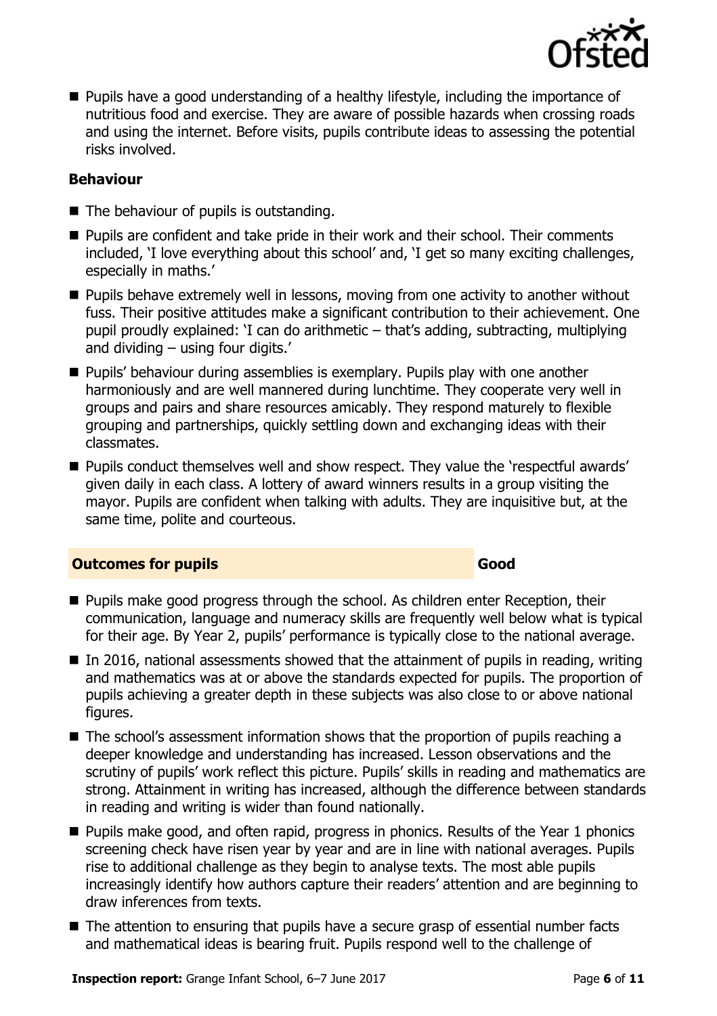

**Pupils have a good understanding of a healthy lifestyle, including the importance of** nutritious food and exercise. They are aware of possible hazards when crossing roads and using the internet. Before visits, pupils contribute ideas to assessing the potential risks involved.

#### **Behaviour**

- The behaviour of pupils is outstanding.
- **Pupils are confident and take pride in their work and their school. Their comments** included, 'I love everything about this school' and, 'I get so many exciting challenges, especially in maths.'
- **Pupils behave extremely well in lessons, moving from one activity to another without** fuss. Their positive attitudes make a significant contribution to their achievement. One pupil proudly explained: 'I can do arithmetic – that's adding, subtracting, multiplying and dividing – using four digits.'
- **Pupils' behaviour during assemblies is exemplary. Pupils play with one another** harmoniously and are well mannered during lunchtime. They cooperate very well in groups and pairs and share resources amicably. They respond maturely to flexible grouping and partnerships, quickly settling down and exchanging ideas with their classmates.
- **Pupils conduct themselves well and show respect. They value the 'respectful awards'** given daily in each class. A lottery of award winners results in a group visiting the mayor. Pupils are confident when talking with adults. They are inquisitive but, at the same time, polite and courteous.

#### **Outcomes for pupils Good Good**

- **Pupils make good progress through the school. As children enter Reception, their** communication, language and numeracy skills are frequently well below what is typical for their age. By Year 2, pupils' performance is typically close to the national average.
- $\blacksquare$  In 2016, national assessments showed that the attainment of pupils in reading, writing and mathematics was at or above the standards expected for pupils. The proportion of pupils achieving a greater depth in these subjects was also close to or above national figures.
- The school's assessment information shows that the proportion of pupils reaching a deeper knowledge and understanding has increased. Lesson observations and the scrutiny of pupils' work reflect this picture. Pupils' skills in reading and mathematics are strong. Attainment in writing has increased, although the difference between standards in reading and writing is wider than found nationally.
- **Pupils make good, and often rapid, progress in phonics. Results of the Year 1 phonics** screening check have risen year by year and are in line with national averages. Pupils rise to additional challenge as they begin to analyse texts. The most able pupils increasingly identify how authors capture their readers' attention and are beginning to draw inferences from texts.
- The attention to ensuring that pupils have a secure grasp of essential number facts and mathematical ideas is bearing fruit. Pupils respond well to the challenge of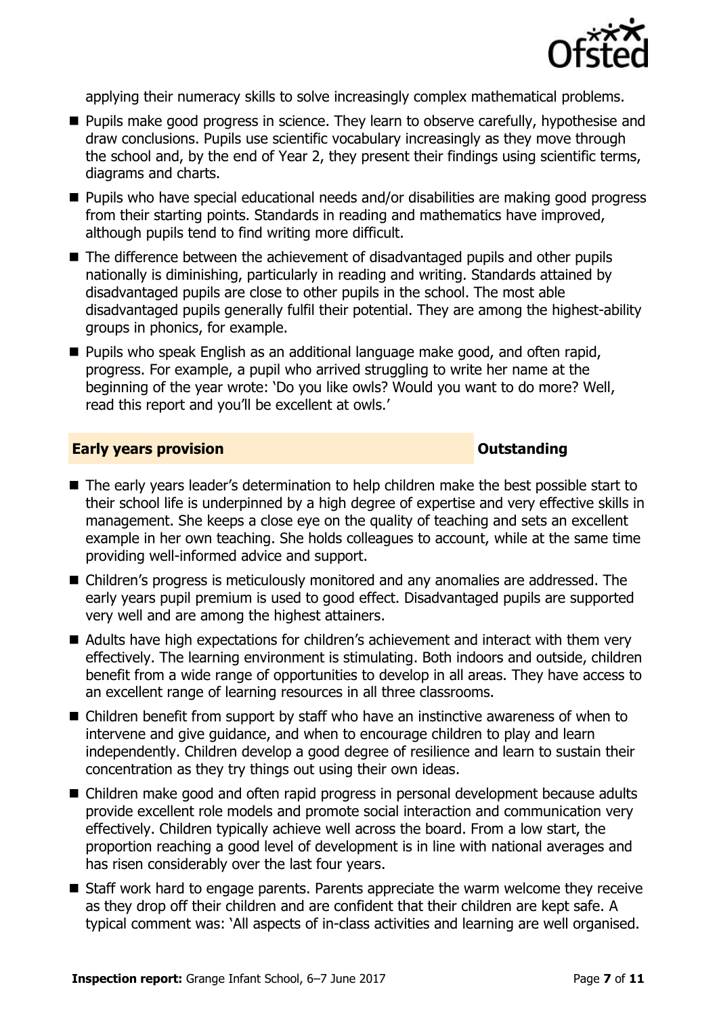

applying their numeracy skills to solve increasingly complex mathematical problems.

- **Pupils make good progress in science. They learn to observe carefully, hypothesise and** draw conclusions. Pupils use scientific vocabulary increasingly as they move through the school and, by the end of Year 2, they present their findings using scientific terms, diagrams and charts.
- Pupils who have special educational needs and/or disabilities are making good progress from their starting points. Standards in reading and mathematics have improved, although pupils tend to find writing more difficult.
- The difference between the achievement of disadvantaged pupils and other pupils nationally is diminishing, particularly in reading and writing. Standards attained by disadvantaged pupils are close to other pupils in the school. The most able disadvantaged pupils generally fulfil their potential. They are among the highest-ability groups in phonics, for example.
- **Pupils who speak English as an additional language make good, and often rapid,** progress. For example, a pupil who arrived struggling to write her name at the beginning of the year wrote: 'Do you like owls? Would you want to do more? Well, read this report and you'll be excellent at owls.'

#### **Early years provision CONSTANDING TO A RESEARCH CONSTANDING TO A RESEARCH CONSTANDING TO A RESEARCH CONSTANDING TO A RESEARCH CONSTANDING TO A RESEARCH CONSTANDING TO A RESEARCH CONSTANDING TO A RESEARCH CONSTANDING TO**

- The early years leader's determination to help children make the best possible start to their school life is underpinned by a high degree of expertise and very effective skills in management. She keeps a close eye on the quality of teaching and sets an excellent example in her own teaching. She holds colleagues to account, while at the same time providing well-informed advice and support.
- Children's progress is meticulously monitored and any anomalies are addressed. The early years pupil premium is used to good effect. Disadvantaged pupils are supported very well and are among the highest attainers.
- Adults have high expectations for children's achievement and interact with them very effectively. The learning environment is stimulating. Both indoors and outside, children benefit from a wide range of opportunities to develop in all areas. They have access to an excellent range of learning resources in all three classrooms.
- Children benefit from support by staff who have an instinctive awareness of when to intervene and give guidance, and when to encourage children to play and learn independently. Children develop a good degree of resilience and learn to sustain their concentration as they try things out using their own ideas.
- Children make good and often rapid progress in personal development because adults provide excellent role models and promote social interaction and communication very effectively. Children typically achieve well across the board. From a low start, the proportion reaching a good level of development is in line with national averages and has risen considerably over the last four years.
- Staff work hard to engage parents. Parents appreciate the warm welcome they receive as they drop off their children and are confident that their children are kept safe. A typical comment was: 'All aspects of in-class activities and learning are well organised.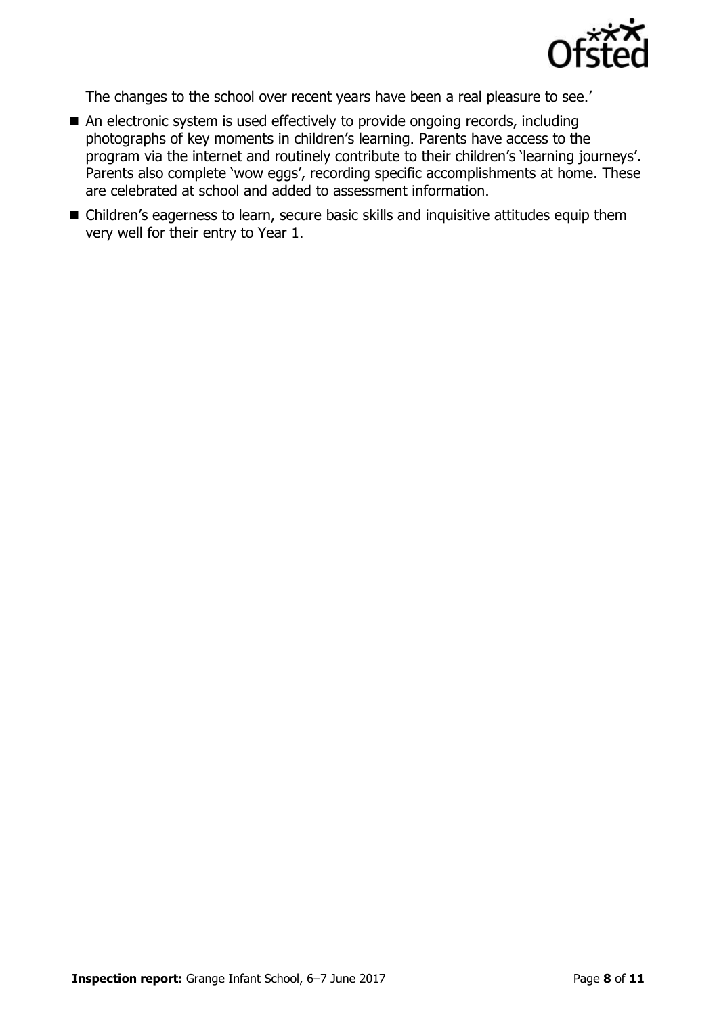

The changes to the school over recent years have been a real pleasure to see.'

- An electronic system is used effectively to provide ongoing records, including photographs of key moments in children's learning. Parents have access to the program via the internet and routinely contribute to their children's 'learning journeys'. Parents also complete 'wow eggs', recording specific accomplishments at home. These are celebrated at school and added to assessment information.
- Children's eagerness to learn, secure basic skills and inquisitive attitudes equip them very well for their entry to Year 1.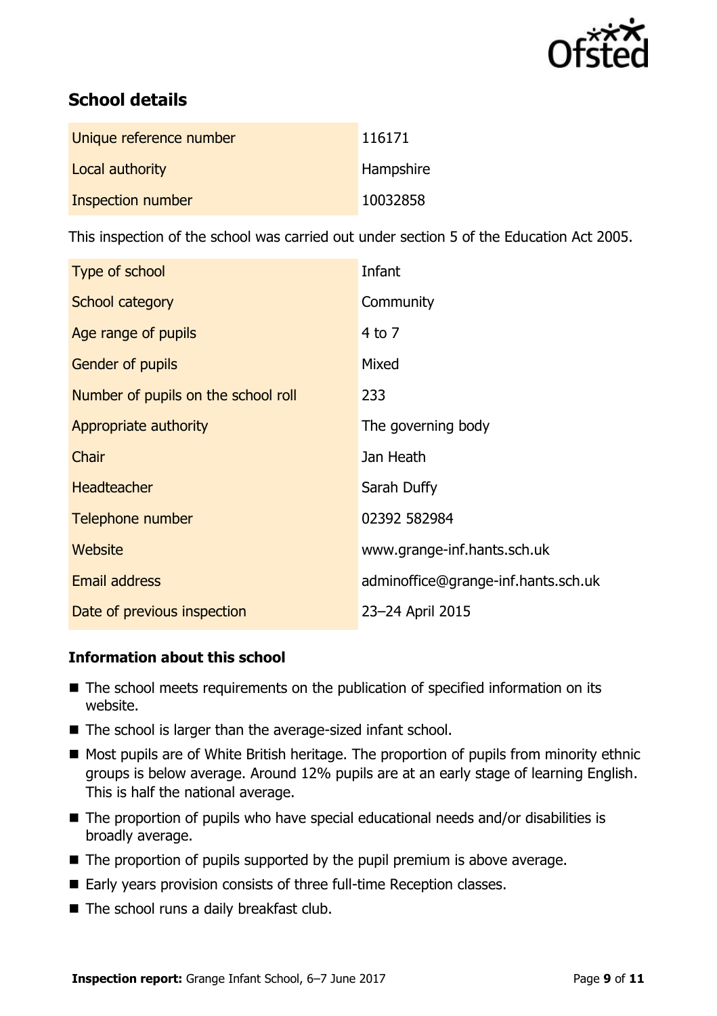

# **School details**

| Unique reference number | 116171    |
|-------------------------|-----------|
| Local authority         | Hampshire |
| Inspection number       | 10032858  |

This inspection of the school was carried out under section 5 of the Education Act 2005.

| Type of school                      | Infant                              |
|-------------------------------------|-------------------------------------|
| School category                     | Community                           |
| Age range of pupils                 | $4$ to $7$                          |
| <b>Gender of pupils</b>             | Mixed                               |
| Number of pupils on the school roll | 233                                 |
| Appropriate authority               | The governing body                  |
| Chair                               | Jan Heath                           |
| <b>Headteacher</b>                  | Sarah Duffy                         |
| Telephone number                    | 02392 582984                        |
| Website                             | www.grange-inf.hants.sch.uk         |
| <b>Email address</b>                | adminoffice@grange-inf.hants.sch.uk |
| Date of previous inspection         | 23-24 April 2015                    |

#### **Information about this school**

- The school meets requirements on the publication of specified information on its website.
- The school is larger than the average-sized infant school.
- **Most pupils are of White British heritage. The proportion of pupils from minority ethnic** groups is below average. Around 12% pupils are at an early stage of learning English. This is half the national average.
- The proportion of pupils who have special educational needs and/or disabilities is broadly average.
- $\blacksquare$  The proportion of pupils supported by the pupil premium is above average.
- Early years provision consists of three full-time Reception classes.
- The school runs a daily breakfast club.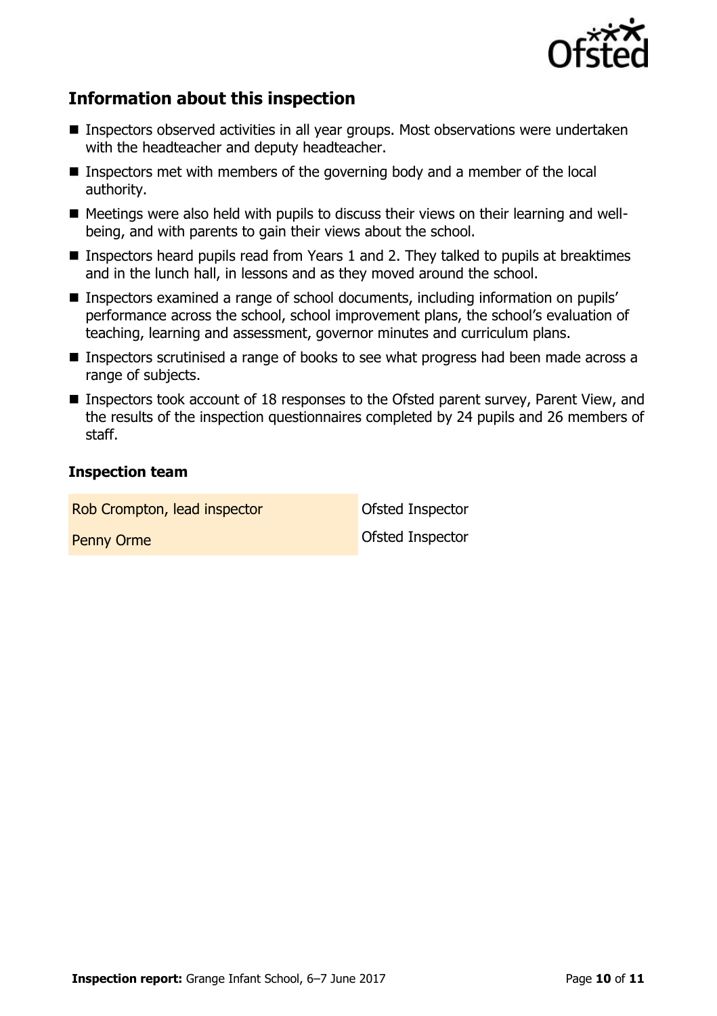

# **Information about this inspection**

- Inspectors observed activities in all year groups. Most observations were undertaken with the headteacher and deputy headteacher.
- **Inspectors met with members of the governing body and a member of the local** authority.
- Meetings were also held with pupils to discuss their views on their learning and wellbeing, and with parents to gain their views about the school.
- **Inspectors heard pupils read from Years 1 and 2. They talked to pupils at breaktimes** and in the lunch hall, in lessons and as they moved around the school.
- Inspectors examined a range of school documents, including information on pupils' performance across the school, school improvement plans, the school's evaluation of teaching, learning and assessment, governor minutes and curriculum plans.
- Inspectors scrutinised a range of books to see what progress had been made across a range of subjects.
- Inspectors took account of 18 responses to the Ofsted parent survey, Parent View, and the results of the inspection questionnaires completed by 24 pupils and 26 members of staff.

#### **Inspection team**

Rob Crompton, lead inspector **Canadian Constanting Constant** Ofsted Inspector Penny Orme **Ofsted Inspector**